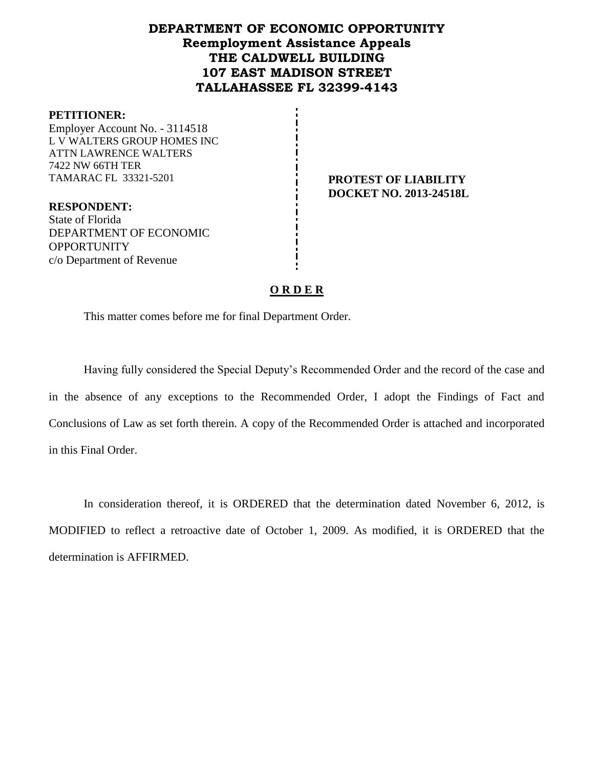# **DEPARTMENT OF ECONOMIC OPPORTUNITY Reemployment Assistance Appeals THE CALDWELL BUILDING 107 EAST MADISON STREET TALLAHASSEE FL 32399-4143**

#### **PETITIONER:**

Employer Account No. - 3114518 L V WALTERS GROUP HOMES INC ATTN LAWRENCE WALTERS 7422 NW 66TH TER TAMARAC FL 33321-5201 **PROTEST OF LIABILITY**

**RESPONDENT:** State of Florida DEPARTMENT OF ECONOMIC **OPPORTUNITY** c/o Department of Revenue

**DOCKET NO. 2013-24518L**

# **O R D E R**

This matter comes before me for final Department Order.

Having fully considered the Special Deputy's Recommended Order and the record of the case and in the absence of any exceptions to the Recommended Order, I adopt the Findings of Fact and Conclusions of Law as set forth therein. A copy of the Recommended Order is attached and incorporated in this Final Order.

In consideration thereof, it is ORDERED that the determination dated November 6, 2012, is MODIFIED to reflect a retroactive date of October 1, 2009. As modified, it is ORDERED that the determination is AFFIRMED.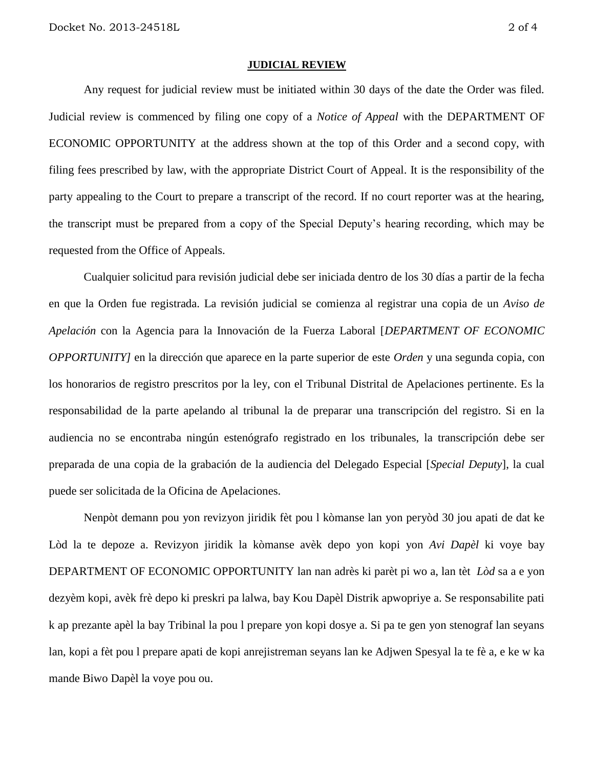#### **JUDICIAL REVIEW**

Any request for judicial review must be initiated within 30 days of the date the Order was filed. Judicial review is commenced by filing one copy of a *Notice of Appeal* with the DEPARTMENT OF ECONOMIC OPPORTUNITY at the address shown at the top of this Order and a second copy, with filing fees prescribed by law, with the appropriate District Court of Appeal. It is the responsibility of the party appealing to the Court to prepare a transcript of the record. If no court reporter was at the hearing, the transcript must be prepared from a copy of the Special Deputy's hearing recording, which may be requested from the Office of Appeals.

Cualquier solicitud para revisión judicial debe ser iniciada dentro de los 30 días a partir de la fecha en que la Orden fue registrada. La revisión judicial se comienza al registrar una copia de un *Aviso de Apelación* con la Agencia para la Innovación de la Fuerza Laboral [*DEPARTMENT OF ECONOMIC OPPORTUNITY]* en la dirección que aparece en la parte superior de este *Orden* y una segunda copia, con los honorarios de registro prescritos por la ley, con el Tribunal Distrital de Apelaciones pertinente. Es la responsabilidad de la parte apelando al tribunal la de preparar una transcripción del registro. Si en la audiencia no se encontraba ningún estenógrafo registrado en los tribunales, la transcripción debe ser preparada de una copia de la grabación de la audiencia del Delegado Especial [*Special Deputy*], la cual puede ser solicitada de la Oficina de Apelaciones.

Nenpòt demann pou yon revizyon jiridik fèt pou l kòmanse lan yon peryòd 30 jou apati de dat ke Lòd la te depoze a. Revizyon jiridik la kòmanse avèk depo yon kopi yon *Avi Dapèl* ki voye bay DEPARTMENT OF ECONOMIC OPPORTUNITY lan nan adrès ki parèt pi wo a, lan tèt *Lòd* sa a e yon dezyèm kopi, avèk frè depo ki preskri pa lalwa, bay Kou Dapèl Distrik apwopriye a. Se responsabilite pati k ap prezante apèl la bay Tribinal la pou l prepare yon kopi dosye a. Si pa te gen yon stenograf lan seyans lan, kopi a fèt pou l prepare apati de kopi anrejistreman seyans lan ke Adjwen Spesyal la te fè a, e ke w ka mande Biwo Dapèl la voye pou ou.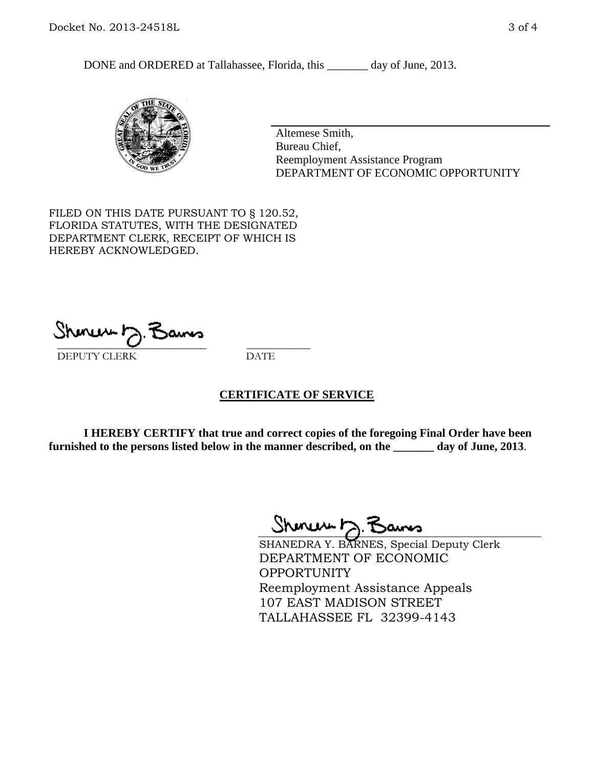DONE and ORDERED at Tallahassee, Florida, this \_\_\_\_\_\_\_ day of June, 2013.



Altemese Smith, Bureau Chief, Reemployment Assistance Program DEPARTMENT OF ECONOMIC OPPORTUNITY

FILED ON THIS DATE PURSUANT TO § 120.52, FLORIDA STATUTES, WITH THE DESIGNATED DEPARTMENT CLERK, RECEIPT OF WHICH IS HEREBY ACKNOWLEDGED.

 $\overline{\phantom{a}}$  ,  $\overline{\phantom{a}}$  ,  $\overline{\phantom{a}}$  ,  $\overline{\phantom{a}}$  ,  $\overline{\phantom{a}}$  ,  $\overline{\phantom{a}}$  ,  $\overline{\phantom{a}}$  ,  $\overline{\phantom{a}}$ DEPUTY CLERK DATE

## **CERTIFICATE OF SERVICE**

**I HEREBY CERTIFY that true and correct copies of the foregoing Final Order have been furnished to the persons listed below in the manner described, on the \_\_\_\_\_\_\_ day of June, 2013**.

Shenux D.F

SHANEDRA Y. BARNES, Special Deputy Clerk DEPARTMENT OF ECONOMIC **OPPORTUNITY** Reemployment Assistance Appeals 107 EAST MADISON STREET TALLAHASSEE FL 32399-4143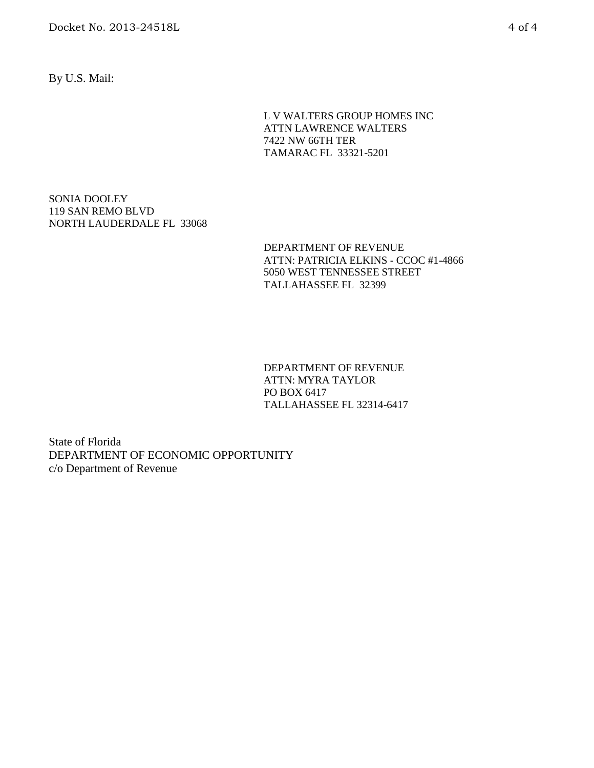Docket No. 2013-24518L 4 of 4

By U.S. Mail:

L V WALTERS GROUP HOMES INC ATTN LAWRENCE WALTERS 7422 NW 66TH TER TAMARAC FL 33321-5201

SONIA DOOLEY 119 SAN REMO BLVD NORTH LAUDERDALE FL 33068

> DEPARTMENT OF REVENUE ATTN: PATRICIA ELKINS - CCOC #1-4866 5050 WEST TENNESSEE STREET TALLAHASSEE FL 32399

DEPARTMENT OF REVENUE ATTN: MYRA TAYLOR PO BOX 6417 TALLAHASSEE FL 32314-6417

State of Florida DEPARTMENT OF ECONOMIC OPPORTUNITY c/o Department of Revenue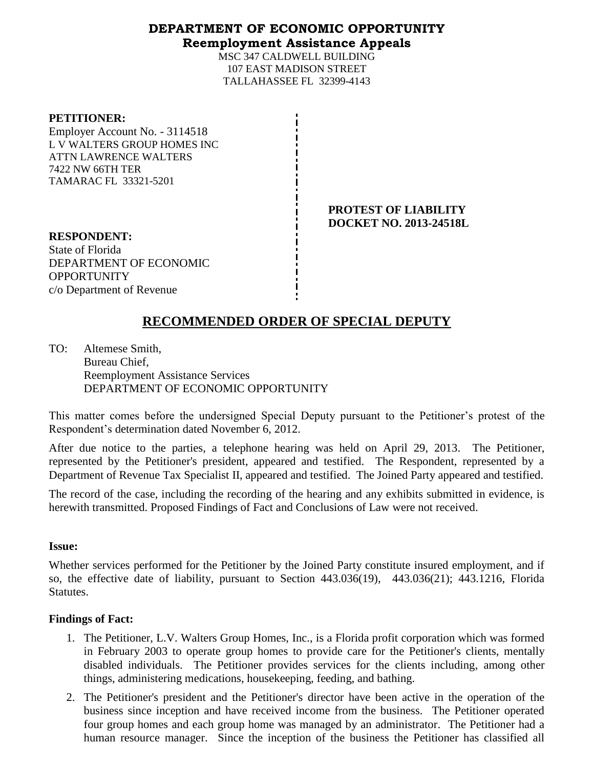# **DEPARTMENT OF ECONOMIC OPPORTUNITY Reemployment Assistance Appeals**

MSC 347 CALDWELL BUILDING 107 EAST MADISON STREET TALLAHASSEE FL 32399-4143

#### **PETITIONER:**

Employer Account No. - 3114518 L V WALTERS GROUP HOMES INC ATTN LAWRENCE WALTERS 7422 NW 66TH TER TAMARAC FL 33321-5201

> **PROTEST OF LIABILITY DOCKET NO. 2013-24518L**

**RESPONDENT:** State of Florida DEPARTMENT OF ECONOMIC **OPPORTUNITY** c/o Department of Revenue

# **RECOMMENDED ORDER OF SPECIAL DEPUTY**

TO: Altemese Smith, Bureau Chief, Reemployment Assistance Services DEPARTMENT OF ECONOMIC OPPORTUNITY

This matter comes before the undersigned Special Deputy pursuant to the Petitioner's protest of the Respondent's determination dated November 6, 2012.

After due notice to the parties, a telephone hearing was held on April 29, 2013. The Petitioner, represented by the Petitioner's president, appeared and testified. The Respondent, represented by a Department of Revenue Tax Specialist II, appeared and testified. The Joined Party appeared and testified.

The record of the case, including the recording of the hearing and any exhibits submitted in evidence, is herewith transmitted. Proposed Findings of Fact and Conclusions of Law were not received.

## **Issue:**

Whether services performed for the Petitioner by the Joined Party constitute insured employment, and if so, the effective date of liability, pursuant to Section 443.036(19), 443.036(21); 443.1216, Florida Statutes.

## **Findings of Fact:**

- 1. The Petitioner, L.V. Walters Group Homes, Inc., is a Florida profit corporation which was formed in February 2003 to operate group homes to provide care for the Petitioner's clients, mentally disabled individuals. The Petitioner provides services for the clients including, among other things, administering medications, housekeeping, feeding, and bathing.
- 2. The Petitioner's president and the Petitioner's director have been active in the operation of the business since inception and have received income from the business. The Petitioner operated four group homes and each group home was managed by an administrator. The Petitioner had a human resource manager. Since the inception of the business the Petitioner has classified all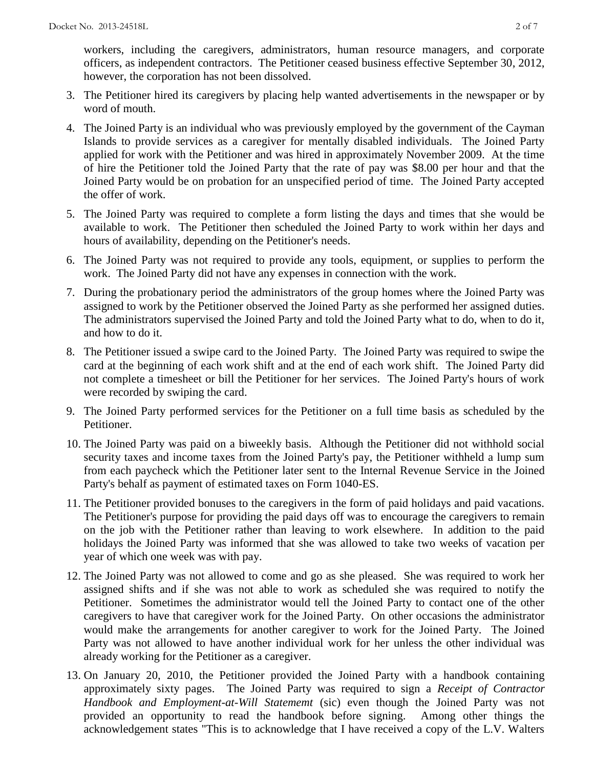workers, including the caregivers, administrators, human resource managers, and corporate officers, as independent contractors. The Petitioner ceased business effective September 30, 2012, however, the corporation has not been dissolved.

- 3. The Petitioner hired its caregivers by placing help wanted advertisements in the newspaper or by word of mouth.
- 4. The Joined Party is an individual who was previously employed by the government of the Cayman Islands to provide services as a caregiver for mentally disabled individuals. The Joined Party applied for work with the Petitioner and was hired in approximately November 2009. At the time of hire the Petitioner told the Joined Party that the rate of pay was \$8.00 per hour and that the Joined Party would be on probation for an unspecified period of time. The Joined Party accepted the offer of work.
- 5. The Joined Party was required to complete a form listing the days and times that she would be available to work. The Petitioner then scheduled the Joined Party to work within her days and hours of availability, depending on the Petitioner's needs.
- 6. The Joined Party was not required to provide any tools, equipment, or supplies to perform the work. The Joined Party did not have any expenses in connection with the work.
- 7. During the probationary period the administrators of the group homes where the Joined Party was assigned to work by the Petitioner observed the Joined Party as she performed her assigned duties. The administrators supervised the Joined Party and told the Joined Party what to do, when to do it, and how to do it.
- 8. The Petitioner issued a swipe card to the Joined Party. The Joined Party was required to swipe the card at the beginning of each work shift and at the end of each work shift. The Joined Party did not complete a timesheet or bill the Petitioner for her services. The Joined Party's hours of work were recorded by swiping the card.
- 9. The Joined Party performed services for the Petitioner on a full time basis as scheduled by the Petitioner.
- 10. The Joined Party was paid on a biweekly basis. Although the Petitioner did not withhold social security taxes and income taxes from the Joined Party's pay, the Petitioner withheld a lump sum from each paycheck which the Petitioner later sent to the Internal Revenue Service in the Joined Party's behalf as payment of estimated taxes on Form 1040-ES.
- 11. The Petitioner provided bonuses to the caregivers in the form of paid holidays and paid vacations. The Petitioner's purpose for providing the paid days off was to encourage the caregivers to remain on the job with the Petitioner rather than leaving to work elsewhere. In addition to the paid holidays the Joined Party was informed that she was allowed to take two weeks of vacation per year of which one week was with pay.
- 12. The Joined Party was not allowed to come and go as she pleased. She was required to work her assigned shifts and if she was not able to work as scheduled she was required to notify the Petitioner. Sometimes the administrator would tell the Joined Party to contact one of the other caregivers to have that caregiver work for the Joined Party. On other occasions the administrator would make the arrangements for another caregiver to work for the Joined Party. The Joined Party was not allowed to have another individual work for her unless the other individual was already working for the Petitioner as a caregiver.
- 13. On January 20, 2010, the Petitioner provided the Joined Party with a handbook containing approximately sixty pages. The Joined Party was required to sign a *Receipt of Contractor Handbook and Employment-at-Will Statememt* (sic) even though the Joined Party was not provided an opportunity to read the handbook before signing. Among other things the acknowledgement states "This is to acknowledge that I have received a copy of the L.V. Walters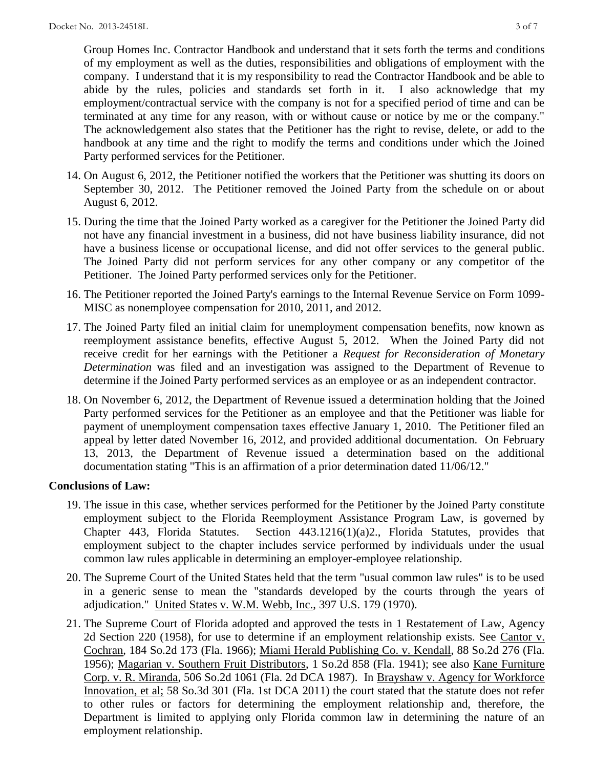Group Homes Inc. Contractor Handbook and understand that it sets forth the terms and conditions of my employment as well as the duties, responsibilities and obligations of employment with the company. I understand that it is my responsibility to read the Contractor Handbook and be able to abide by the rules, policies and standards set forth in it. I also acknowledge that my employment/contractual service with the company is not for a specified period of time and can be terminated at any time for any reason, with or without cause or notice by me or the company." The acknowledgement also states that the Petitioner has the right to revise, delete, or add to the handbook at any time and the right to modify the terms and conditions under which the Joined Party performed services for the Petitioner.

- 14. On August 6, 2012, the Petitioner notified the workers that the Petitioner was shutting its doors on September 30, 2012. The Petitioner removed the Joined Party from the schedule on or about August 6, 2012.
- 15. During the time that the Joined Party worked as a caregiver for the Petitioner the Joined Party did not have any financial investment in a business, did not have business liability insurance, did not have a business license or occupational license, and did not offer services to the general public. The Joined Party did not perform services for any other company or any competitor of the Petitioner. The Joined Party performed services only for the Petitioner.
- 16. The Petitioner reported the Joined Party's earnings to the Internal Revenue Service on Form 1099- MISC as nonemployee compensation for 2010, 2011, and 2012.
- 17. The Joined Party filed an initial claim for unemployment compensation benefits, now known as reemployment assistance benefits, effective August 5, 2012. When the Joined Party did not receive credit for her earnings with the Petitioner a *Request for Reconsideration of Monetary Determination* was filed and an investigation was assigned to the Department of Revenue to determine if the Joined Party performed services as an employee or as an independent contractor.
- 18. On November 6, 2012, the Department of Revenue issued a determination holding that the Joined Party performed services for the Petitioner as an employee and that the Petitioner was liable for payment of unemployment compensation taxes effective January 1, 2010. The Petitioner filed an appeal by letter dated November 16, 2012, and provided additional documentation. On February 13, 2013, the Department of Revenue issued a determination based on the additional documentation stating "This is an affirmation of a prior determination dated 11/06/12."

## **Conclusions of Law:**

- 19. The issue in this case, whether services performed for the Petitioner by the Joined Party constitute employment subject to the Florida Reemployment Assistance Program Law, is governed by Chapter 443, Florida Statutes. Section 443.1216(1)(a)2., Florida Statutes, provides that employment subject to the chapter includes service performed by individuals under the usual common law rules applicable in determining an employer-employee relationship.
- 20. The Supreme Court of the United States held that the term "usual common law rules" is to be used in a generic sense to mean the "standards developed by the courts through the years of adjudication." United States v. W.M. Webb, Inc., 397 U.S. 179 (1970).
- 21. The Supreme Court of Florida adopted and approved the tests in 1 Restatement of Law, Agency 2d Section 220 (1958), for use to determine if an employment relationship exists. See Cantor v. Cochran, 184 So.2d 173 (Fla. 1966); Miami Herald Publishing Co. v. Kendall, 88 So.2d 276 (Fla. 1956); Magarian v. Southern Fruit Distributors, 1 So.2d 858 (Fla. 1941); see also Kane Furniture Corp. v. R. Miranda, 506 So.2d 1061 (Fla. 2d DCA 1987). In Brayshaw v. Agency for Workforce Innovation, et al; 58 So.3d 301 (Fla. 1st DCA 2011) the court stated that the statute does not refer to other rules or factors for determining the employment relationship and, therefore, the Department is limited to applying only Florida common law in determining the nature of an employment relationship.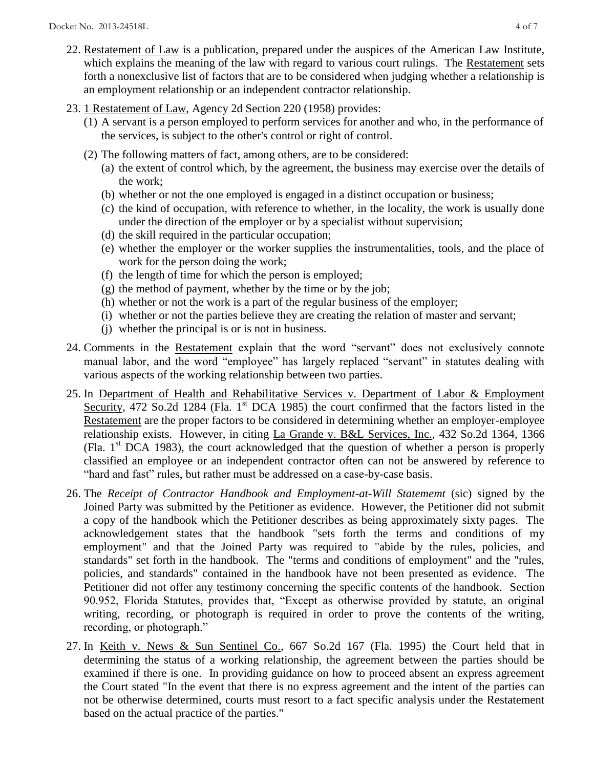- 22. Restatement of Law is a publication, prepared under the auspices of the American Law Institute, which explains the meaning of the law with regard to various court rulings. The Restatement sets forth a nonexclusive list of factors that are to be considered when judging whether a relationship is an employment relationship or an independent contractor relationship.
- 23. 1 Restatement of Law, Agency 2d Section 220 (1958) provides:
	- (1) A servant is a person employed to perform services for another and who, in the performance of the services, is subject to the other's control or right of control.
	- (2) The following matters of fact, among others, are to be considered:
		- (a) the extent of control which, by the agreement, the business may exercise over the details of the work;
		- (b) whether or not the one employed is engaged in a distinct occupation or business;
		- (c) the kind of occupation, with reference to whether, in the locality, the work is usually done under the direction of the employer or by a specialist without supervision;
		- (d) the skill required in the particular occupation;
		- (e) whether the employer or the worker supplies the instrumentalities, tools, and the place of work for the person doing the work;
		- (f) the length of time for which the person is employed;
		- (g) the method of payment, whether by the time or by the job;
		- (h) whether or not the work is a part of the regular business of the employer;
		- (i) whether or not the parties believe they are creating the relation of master and servant;
		- (j) whether the principal is or is not in business.
- 24. Comments in the Restatement explain that the word "servant" does not exclusively connote manual labor, and the word "employee" has largely replaced "servant" in statutes dealing with various aspects of the working relationship between two parties.
- 25. In Department of Health and Rehabilitative Services v. Department of Labor & Employment Security, 472 So.2d 1284 (Fla. 1<sup>st</sup> DCA 1985) the court confirmed that the factors listed in the Restatement are the proper factors to be considered in determining whether an employer-employee relationship exists. However, in citing La Grande v. B&L Services, Inc., 432 So.2d 1364, 1366 (Fla.  $1<sup>st</sup> DCA$  1983), the court acknowledged that the question of whether a person is properly classified an employee or an independent contractor often can not be answered by reference to "hard and fast" rules, but rather must be addressed on a case-by-case basis.
- 26. The *Receipt of Contractor Handbook and Employment-at-Will Statememt* (sic) signed by the Joined Party was submitted by the Petitioner as evidence. However, the Petitioner did not submit a copy of the handbook which the Petitioner describes as being approximately sixty pages. The acknowledgement states that the handbook "sets forth the terms and conditions of my employment" and that the Joined Party was required to "abide by the rules, policies, and standards" set forth in the handbook. The "terms and conditions of employment" and the "rules, policies, and standards" contained in the handbook have not been presented as evidence. The Petitioner did not offer any testimony concerning the specific contents of the handbook. Section 90.952, Florida Statutes, provides that, "Except as otherwise provided by statute, an original writing, recording, or photograph is required in order to prove the contents of the writing, recording, or photograph."
- 27. In Keith v. News & Sun Sentinel Co., 667 So.2d 167 (Fla. 1995) the Court held that in determining the status of a working relationship, the agreement between the parties should be examined if there is one. In providing guidance on how to proceed absent an express agreement the Court stated "In the event that there is no express agreement and the intent of the parties can not be otherwise determined, courts must resort to a fact specific analysis under the Restatement based on the actual practice of the parties."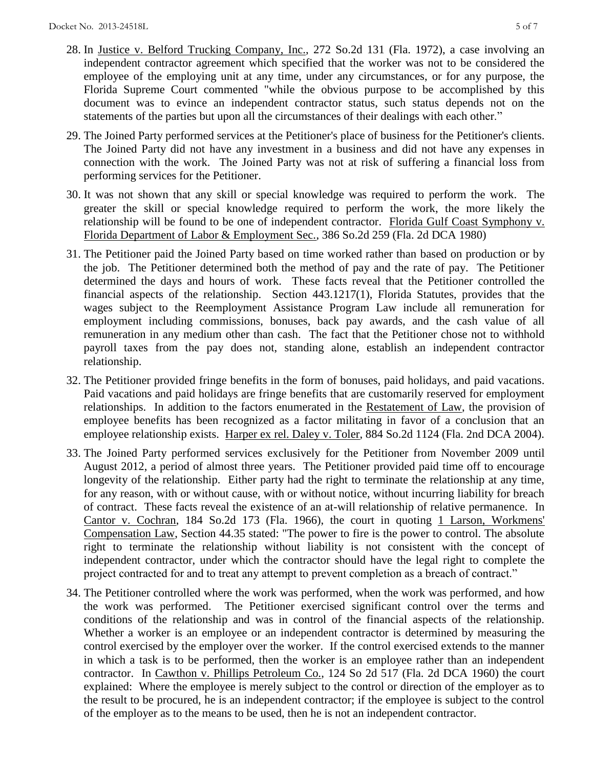- 28. In Justice v. Belford Trucking Company, Inc., 272 So.2d 131 (Fla. 1972), a case involving an independent contractor agreement which specified that the worker was not to be considered the employee of the employing unit at any time, under any circumstances, or for any purpose, the Florida Supreme Court commented "while the obvious purpose to be accomplished by this document was to evince an independent contractor status, such status depends not on the statements of the parties but upon all the circumstances of their dealings with each other."
- 29. The Joined Party performed services at the Petitioner's place of business for the Petitioner's clients. The Joined Party did not have any investment in a business and did not have any expenses in connection with the work. The Joined Party was not at risk of suffering a financial loss from performing services for the Petitioner.
- 30. It was not shown that any skill or special knowledge was required to perform the work. The greater the skill or special knowledge required to perform the work, the more likely the relationship will be found to be one of independent contractor. Florida Gulf Coast Symphony v. Florida Department of Labor & Employment Sec., 386 So.2d 259 (Fla. 2d DCA 1980)
- 31. The Petitioner paid the Joined Party based on time worked rather than based on production or by the job. The Petitioner determined both the method of pay and the rate of pay. The Petitioner determined the days and hours of work. These facts reveal that the Petitioner controlled the financial aspects of the relationship. Section 443.1217(1), Florida Statutes, provides that the wages subject to the Reemployment Assistance Program Law include all remuneration for employment including commissions, bonuses, back pay awards, and the cash value of all remuneration in any medium other than cash. The fact that the Petitioner chose not to withhold payroll taxes from the pay does not, standing alone, establish an independent contractor relationship.
- 32. The Petitioner provided fringe benefits in the form of bonuses, paid holidays, and paid vacations. Paid vacations and paid holidays are fringe benefits that are customarily reserved for employment relationships. In addition to the factors enumerated in the Restatement of Law, the provision of employee benefits has been recognized as a factor militating in favor of a conclusion that an employee relationship exists. Harper ex rel. Daley v. Toler, 884 So.2d 1124 (Fla. 2nd DCA 2004).
- 33. The Joined Party performed services exclusively for the Petitioner from November 2009 until August 2012, a period of almost three years. The Petitioner provided paid time off to encourage longevity of the relationship. Either party had the right to terminate the relationship at any time, for any reason, with or without cause, with or without notice, without incurring liability for breach of contract. These facts reveal the existence of an at-will relationship of relative permanence. In Cantor v. Cochran, 184 So.2d 173 (Fla. 1966), the court in quoting 1 Larson, Workmens' Compensation Law, Section 44.35 stated: "The power to fire is the power to control. The absolute right to terminate the relationship without liability is not consistent with the concept of independent contractor, under which the contractor should have the legal right to complete the project contracted for and to treat any attempt to prevent completion as a breach of contract."
- 34. The Petitioner controlled where the work was performed, when the work was performed, and how the work was performed. The Petitioner exercised significant control over the terms and conditions of the relationship and was in control of the financial aspects of the relationship. Whether a worker is an employee or an independent contractor is determined by measuring the control exercised by the employer over the worker. If the control exercised extends to the manner in which a task is to be performed, then the worker is an employee rather than an independent contractor. In Cawthon v. Phillips Petroleum Co., 124 So 2d 517 (Fla. 2d DCA 1960) the court explained: Where the employee is merely subject to the control or direction of the employer as to the result to be procured, he is an independent contractor; if the employee is subject to the control of the employer as to the means to be used, then he is not an independent contractor.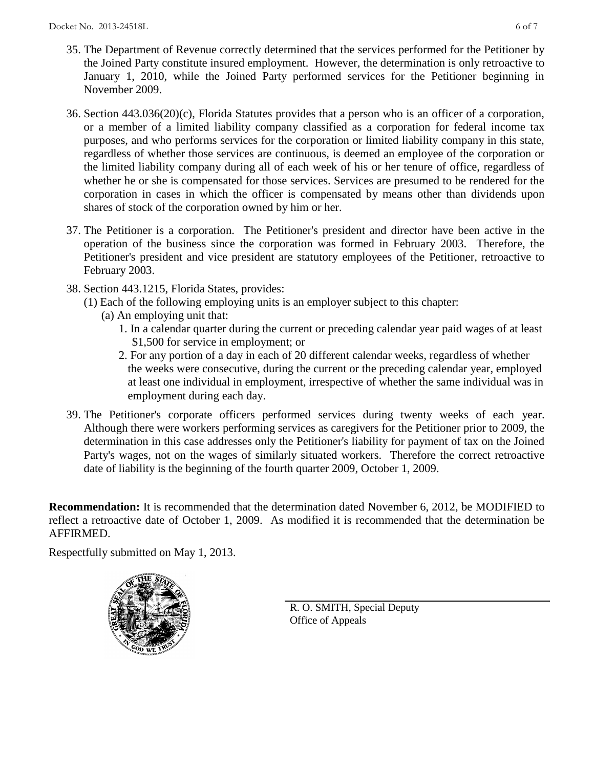- 35. The Department of Revenue correctly determined that the services performed for the Petitioner by the Joined Party constitute insured employment. However, the determination is only retroactive to January 1, 2010, while the Joined Party performed services for the Petitioner beginning in November 2009.
- 36. Section 443.036(20)(c), Florida Statutes provides that a person who is an officer of a corporation, or a member of a limited liability company classified as a corporation for federal income tax purposes, and who performs services for the corporation or limited liability company in this state, regardless of whether those services are continuous, is deemed an employee of the corporation or the limited liability company during all of each week of his or her tenure of office, regardless of whether he or she is compensated for those services. Services are presumed to be rendered for the corporation in cases in which the officer is compensated by means other than dividends upon shares of stock of the corporation owned by him or her.
- 37. The Petitioner is a corporation. The Petitioner's president and director have been active in the operation of the business since the corporation was formed in February 2003. Therefore, the Petitioner's president and vice president are statutory employees of the Petitioner, retroactive to February 2003.
- 38. Section 443.1215, Florida States, provides:
	- (1) Each of the following employing units is an employer subject to this chapter:
		- (a) An employing unit that:
			- 1. In a calendar quarter during the current or preceding calendar year paid wages of at least \$1,500 for service in employment; or
			- 2. For any portion of a day in each of 20 different calendar weeks, regardless of whether the weeks were consecutive, during the current or the preceding calendar year, employed at least one individual in employment, irrespective of whether the same individual was in employment during each day.
- 39. The Petitioner's corporate officers performed services during twenty weeks of each year. Although there were workers performing services as caregivers for the Petitioner prior to 2009, the determination in this case addresses only the Petitioner's liability for payment of tax on the Joined Party's wages, not on the wages of similarly situated workers. Therefore the correct retroactive date of liability is the beginning of the fourth quarter 2009, October 1, 2009.

**Recommendation:** It is recommended that the determination dated November 6, 2012, be MODIFIED to reflect a retroactive date of October 1, 2009. As modified it is recommended that the determination be AFFIRMED.

Respectfully submitted on May 1, 2013.



R. O. SMITH, Special Deputy Office of Appeals